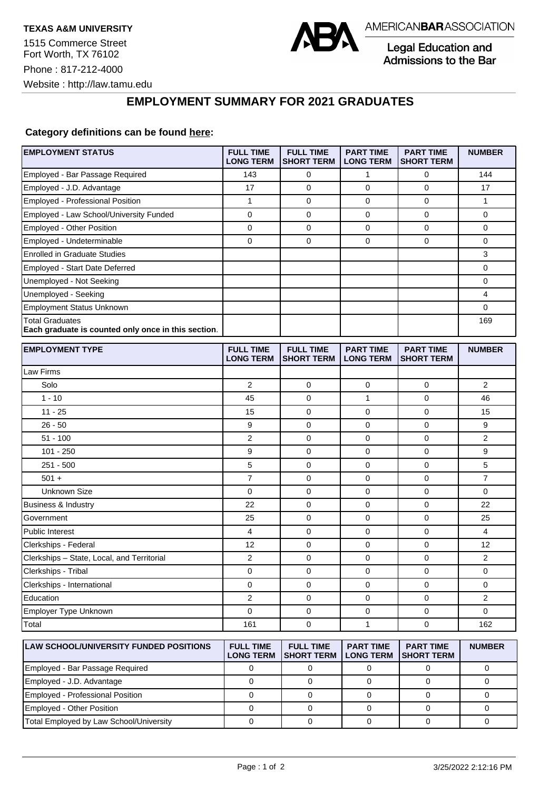Website : http://law.tamu.edu

Phone : 817-212-4000



Legal Education and Admissions to the Bar

## **EMPLOYMENT SUMMARY FOR 2021 GRADUATES**

## **Category definitions can be found [here:](https://www.americanbar.org/content/dam/aba/administrative/legal_education_and_admissions_to_the_bar/Questionnaires/2021/2022-employment-protocols-for-the-class-of-2021-september-2021.pdf)**

| <b>EMPLOYMENT STATUS</b>                                                      | <b>FULL TIME</b><br><b>LONG TERM</b> | <b>FULL TIME</b><br><b>SHORT TERM</b> | <b>PART TIME</b><br><b>LONG TERM</b> | <b>PART TIME</b><br><b>SHORT TERM</b> | <b>NUMBER</b>  |
|-------------------------------------------------------------------------------|--------------------------------------|---------------------------------------|--------------------------------------|---------------------------------------|----------------|
| Employed - Bar Passage Required                                               | 143                                  | 0                                     | $\mathbf{1}$                         | 0                                     | 144            |
| Employed - J.D. Advantage                                                     | 17                                   | 0                                     | 0                                    | 0                                     | 17             |
| Employed - Professional Position                                              | 1                                    | $\mathbf 0$                           | 0                                    | $\mathbf 0$                           | $\mathbf{1}$   |
| Employed - Law School/University Funded                                       | 0                                    | 0                                     | 0                                    | 0                                     | 0              |
| Employed - Other Position                                                     | 0                                    | 0                                     | 0                                    | $\mathbf 0$                           | 0              |
| Employed - Undeterminable                                                     | 0                                    | $\mathbf 0$                           | 0                                    | $\mathbf 0$                           | 0              |
| <b>Enrolled in Graduate Studies</b>                                           |                                      |                                       |                                      |                                       | 3              |
| Employed - Start Date Deferred                                                |                                      |                                       |                                      |                                       | 0              |
| Unemployed - Not Seeking                                                      |                                      |                                       |                                      |                                       | 0              |
| Unemployed - Seeking                                                          |                                      |                                       |                                      |                                       | 4              |
| <b>Employment Status Unknown</b>                                              |                                      |                                       |                                      |                                       | 0              |
| <b>Total Graduates</b><br>Each graduate is counted only once in this section. |                                      |                                       |                                      |                                       | 169            |
| <b>EMPLOYMENT TYPE</b>                                                        | <b>FULL TIME</b><br><b>LONG TERM</b> | <b>FULL TIME</b><br><b>SHORT TERM</b> | <b>PART TIME</b><br><b>LONG TERM</b> | <b>PART TIME</b><br><b>SHORT TERM</b> | <b>NUMBER</b>  |
| Law Firms                                                                     |                                      |                                       |                                      |                                       |                |
| Solo                                                                          | $\overline{2}$                       | 0                                     | 0                                    | 0                                     | 2              |
| $1 - 10$                                                                      | 45                                   | $\mathbf 0$                           | 1                                    | 0                                     | 46             |
| $11 - 25$                                                                     | 15                                   | $\mathbf 0$                           | 0                                    | $\mathbf 0$                           | 15             |
| $26 - 50$                                                                     | 9                                    | $\mathbf 0$                           | 0                                    | 0                                     | 9              |
| $51 - 100$                                                                    | 2                                    | 0                                     | 0                                    | $\mathbf 0$                           | $\overline{2}$ |
| $101 - 250$                                                                   | 9                                    | 0                                     | 0                                    | 0                                     | 9              |
| $251 - 500$                                                                   | 5                                    | $\mathbf 0$                           | 0                                    | $\mathbf 0$                           | 5              |
| $501 +$                                                                       | $\overline{7}$                       | 0                                     | 0                                    | $\mathbf 0$                           | $\overline{7}$ |
| <b>Unknown Size</b>                                                           | 0                                    | 0                                     | 0                                    | $\mathbf 0$                           | 0              |
| Business & Industry                                                           | 22                                   | 0                                     | 0                                    | 0                                     | 22             |
| Government                                                                    | 25                                   | 0                                     | 0                                    | $\mathbf 0$                           | 25             |
| <b>Public Interest</b>                                                        | 4                                    | $\mathbf 0$                           | 0                                    | $\mathbf 0$                           | 4              |
| Clerkships - Federal                                                          | 12                                   | $\mathbf 0$                           | 0                                    | 0                                     | 12             |
| Clerkships - State, Local, and Territorial                                    | 2                                    | $\mathbf 0$                           | 0                                    | $\mathbf 0$                           | $\overline{2}$ |
| Clerkships - Tribal                                                           | 0                                    | 0                                     | 0                                    | 0                                     | 0              |
| Clerkships - International                                                    | 0                                    | $\mathbf 0$                           | 0                                    | $\mathbf 0$                           | 0              |
| Education                                                                     | 2                                    | 0                                     | 0                                    | 0                                     | 2              |
| Employer Type Unknown                                                         | 0                                    | 0                                     | 0                                    | 0                                     | 0              |
| Total                                                                         | 161                                  | 0                                     | 1                                    | 0                                     | 162            |
| <b>LAW SCHOOL/UNIVERSITY FUNDED POSITIONS</b>                                 | <b>FULL TIME</b><br><b>LONG TERM</b> | <b>FULL TIME</b><br><b>SHORT TERM</b> | <b>PART TIME</b><br><b>LONG TERM</b> | <b>PART TIME</b><br><b>SHORT TERM</b> | <b>NUMBER</b>  |
| Employed - Bar Passage Required                                               | 0                                    | 0                                     | $\mathbf 0$                          | 0                                     | 0              |
| Employed - J.D. Advantage                                                     | $\mathbf 0$                          | $\mathbf 0$                           | 0                                    | 0                                     | 0              |

Employed - Professional Position 0 0 0 0 0 Employed - Other Position 0 0 0 0 0 Total Employed by Law School/University 0 0 0 0 0